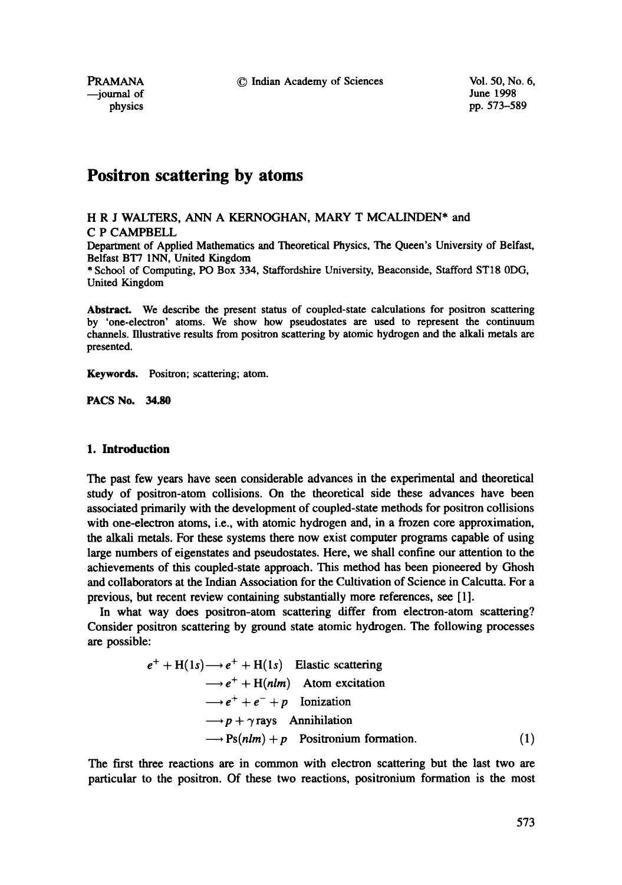PRAMANA C Indian Academy of Sciences Vol. 50, No. 6,<br>
iournal of June 1998

--journal of

physics pp. 573-589

# **Positron scattering by atoms**

H R J WALTERS, ANN A KERNOGHAN, MARY T MCALINDEN\* and C P CAMPBELL

Department of Applied Mathematics and Theoretical Physics, The Queen's University of Belfast, Belfast BT7 INN, United Kingdom

\* School of Computing, PO Box 334, Staffordshire University, Beaconside, Stafford STI8 0DG, United Kingdom

Abstract. We describe the present status of coupled-state calculations for positron scattering by 'one-electron' atoms. We show how pseudostates are used to represent the continuum channels. Illustrative results from positron scattering by atomic hydrogen and the alkali metals are presented.

**Keywords.** Positron; scattering; atom.

**PACS No. 34.80** 

# **1. Introduction**

The past few years have seen considerable advances in the experimental and theoretical study of positron-atom collisions. On the theoretical side these advances have been associated primarily with the development of coupled-state methods for positron collisions with one-electron atoms, i.e., with atomic hydrogen and, in a frozen core approximation, the alkali metals. For these systems there now exist computer programs capable of using large numbers of eigenstates and pseudostates. Here, we shall confine our attention to the achievements of this coupled-state approach. This method has been pioneered by Ghosh and collaborators at the Indian Association for the Cultivation of Science in Calcutta. For a previous, but recent review containing substantially more references, see [1].

In what way does positron-atom scattering differ from electron-atom scattering? Consider positron scattering by ground state atomic hydrogen. The following processes are possible:

$$
e^{+} + H(1s) \longrightarrow e^{+} + H(1s)
$$
 Elastic scattering  
\n
$$
\longrightarrow e^{+} + H(nlm)
$$
Atom excitation  
\n
$$
\longrightarrow e^{+} + e^{-} + p
$$
 Ionization  
\n
$$
\longrightarrow p + \gamma \text{ rays}
$$
Annihilation  
\n
$$
\longrightarrow \text{Ps}(nlm) + p
$$
 Positionium formation. (1)

The first three reactions are in common with electron scattering but the last two are particular to the positron. Of these two reactions, positronium formation is the most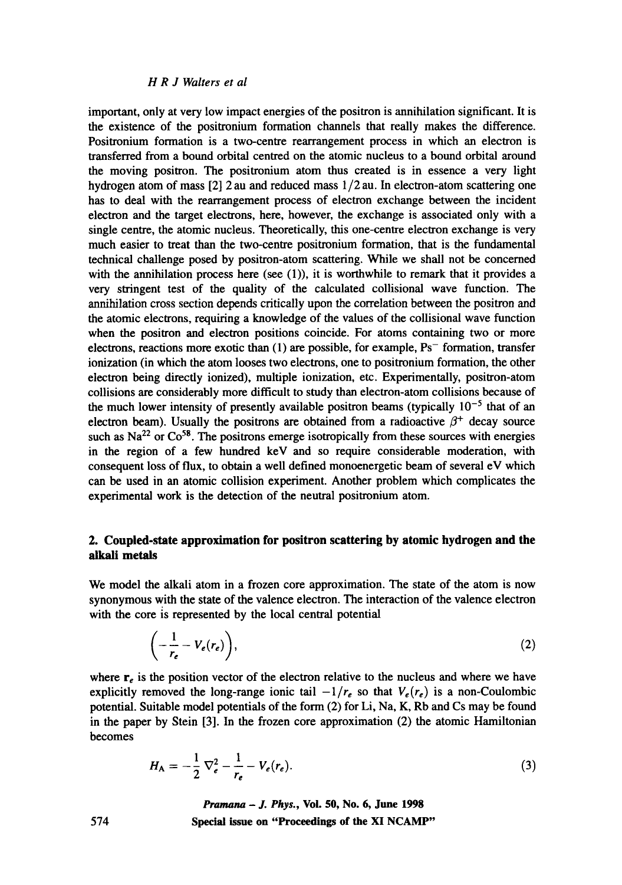# *H R J Walters et al*

important, only at very low impact energies of the positron is annihilation significant. It is the existence of the positronium formation channels that really makes the difference. Positronium formation is a two-centre rearrangement process in which an electron is transferred from a bound orbital centred on the atomic nucleus to a bound orbital around the moving positron. The positronium atom thus created is in essence a very light hydrogen atom of mass [2] 2 au and reduced mass 1/2 au. In electron-atom scattering one has to deal with the rearrangement process of electron exchange between the incident electron and the target electrons, here, however, the exchange is associated only with a single centre, the atomic nucleus. Theoretically, this one-centre electron exchange is very much easier to treat than the two-centre positronium formation, that is the fundamental technical challenge posed by positron-atom scattering. While we shall not be concerned with the annihilation process here (see (1)), it is worthwhile to remark that it provides a very stringent test of the quality of the calculated collisional wave function. The annihilation cross section depends critically upon the correlation between the positron and the atomic electrons, requiring a knowledge of the values of the collisional wave function when the positron and electron positions coincide. For atoms containing two or more electrons, reactions more exotic than  $(1)$  are possible, for example,  $Ps^-$  formation, transfer ionization (in which the atom looses two electrons, one to positronium formation, the other electron being directly ionized), multiple ionization, etc. Experimentally, positron-atom collisions are considerably more difficult to study than electron-atom collisions because of the much lower intensity of presently available positron beams (typically  $10^{-5}$  that of an electron beam). Usually the positrons are obtained from a radioactive  $\beta^+$  decay source such as  $Na^{22}$  or  $Co^{58}$ . The positrons emerge isotropically from these sources with energies in the region of a few hundred keV and so require considerable moderation, with consequent loss of flux, to obtain a well defined monoenergetic beam of several eV which can be used in an atomic collision experiment. Another problem which complicates the experimental work is the detection of the neutral positronium atom.

# **2. Coupled-state approximation for positron scattering by atomic hydrogen and the alkali metals**

We model the alkali atom in a frozen core approximation. The state of the atom is now synonymous with the state of the valence electron. The interaction of the valence electron with the core is represented by the local central potential

$$
\left(-\frac{1}{r_e}-V_e(r_e)\right),\tag{2}
$$

where  $\mathbf{r}_e$  is the position vector of the electron relative to the nucleus and where we have explicitly removed the long-range ionic tail  $-1/r_e$  so that  $V_e(r_e)$  is a non-Coulombic potential. Suitable model potentials of the form (2) for Li, Na, K, Rb and Cs may be found in the paper by Stein [3]. In the frozen core approximation (2) the atomic Hamiltonian becomes

$$
H_{A} = -\frac{1}{2} \nabla_{e}^{2} - \frac{1}{r_{e}} - V_{e}(r_{e}).
$$
\n(3)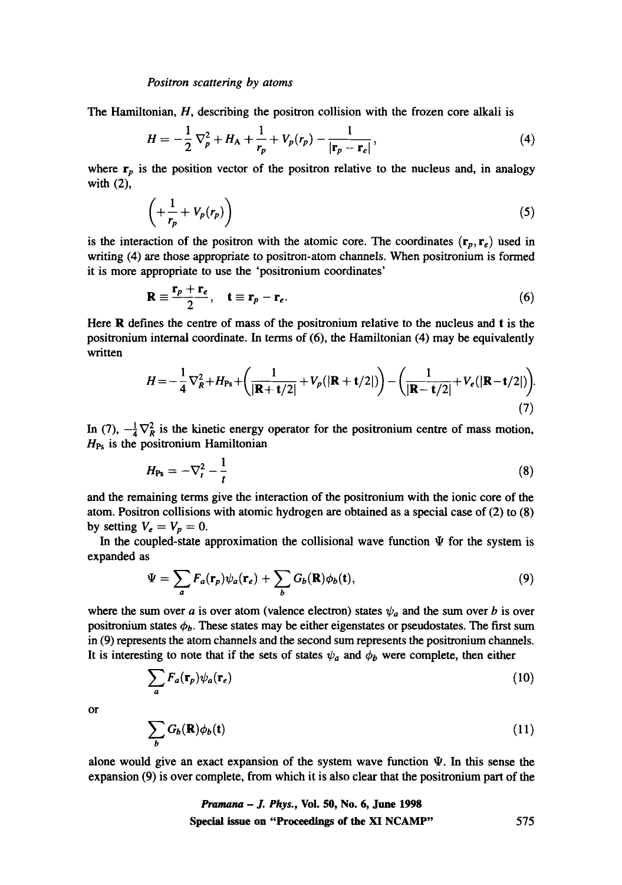The Hamiltonian, H, describing the positron collision with the frozen core alkali is

$$
H=-\frac{1}{2}\nabla_p^2+H_A+\frac{1}{r_p}+V_p(r_p)-\frac{1}{|\mathbf{r}_p-\mathbf{r}_e|},\qquad(4)
$$

where  $r_p$  is the position vector of the positron relative to the nucleus and, in analogy with (2),

$$
\left(+\frac{1}{r_p} + V_p(r_p)\right) \tag{5}
$$

is the interaction of the positron with the atomic core. The coordinates  $(r_p, r_e)$  used in writing (4) are those appropriate to positron-atom channels. When positronium is formed it is more appropriate to use the 'positronium coordinates'

$$
\mathbf{R} \equiv \frac{\mathbf{r}_p + \mathbf{r}_e}{2}, \quad \mathbf{t} \equiv \mathbf{r}_p - \mathbf{r}_e. \tag{6}
$$

Here R defines the centre of mass of the positronium relative to the nucleus and t is the positronium internal coordinate. In terms of (6), the Hamiltonian (4) may be equivalently written

$$
H = -\frac{1}{4}\nabla_R^2 + H_{\text{Ps}} + \left(\frac{1}{|\mathbf{R} + \mathbf{t}/2|} + V_p(|\mathbf{R} + \mathbf{t}/2|)\right) - \left(\frac{1}{|\mathbf{R} - \mathbf{t}/2|} + V_e(|\mathbf{R} - \mathbf{t}/2|)\right).
$$
\n(7)

In (7),  $-\frac{1}{4}\nabla_R^2$  is the kinetic energy operator for the positronium centre of mass motion,  $H_{\text{Ps}}$  is the positronium Hamiltonian

$$
H_{\text{Ps}} = -\nabla_t^2 - \frac{1}{t} \tag{8}
$$

and the remaining terms give the interaction of the positronium with the ionic core of the atom. Positron collisions with atomic hydrogen are obtained as a special case of (2) to (8) by setting  $V_e = V_p = 0$ .

In the coupled-state approximation the collisional wave function  $\Psi$  for the system is expanded as

$$
\Psi = \sum_{a} F_a(\mathbf{r}_p) \psi_a(\mathbf{r}_e) + \sum_{b} G_b(\mathbf{R}) \phi_b(\mathbf{t}), \tag{9}
$$

where the sum over a is over atom (valence electron) states  $\psi_a$  and the sum over b is over positronium states  $\phi_b$ . These states may be either eigenstates or pseudostates. The first sum in (9) represents the atom channels and the second sum represents the positronium channels. It is interesting to note that if the sets of states  $\psi_a$  and  $\phi_b$  were complete, then either

$$
\sum_{a} F_a(\mathbf{r}_p) \psi_a(\mathbf{r}_e) \tag{10}
$$

or

$$
\sum_{b} G_{b}(\mathbf{R}) \phi_{b}(\mathbf{t}) \tag{11}
$$

alone would give an exact expansion of the system wave function  $\Psi$ . In this sense the expansion (9) is over complete, from which it is also clear that the positronium part of the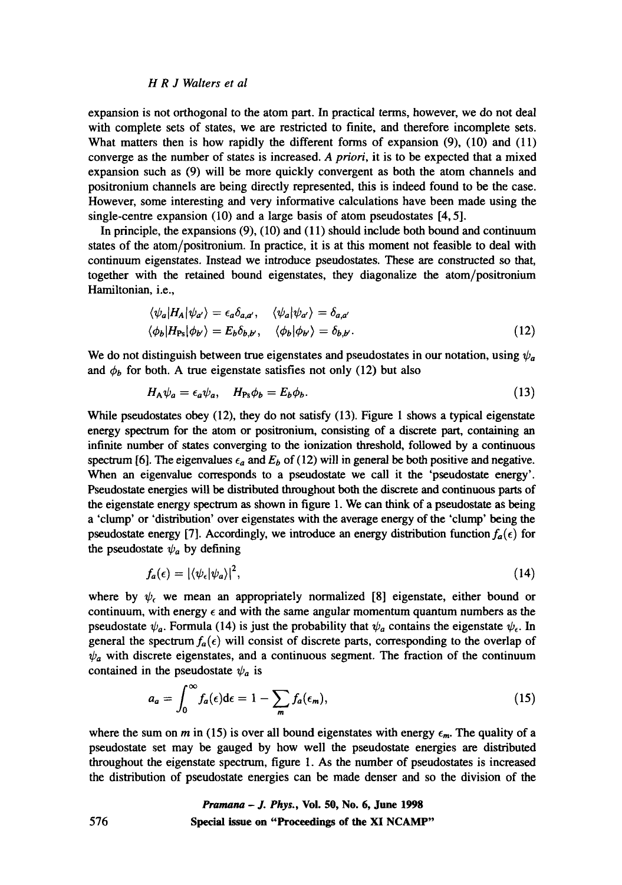#### *H R J Waiters et al*

expansion is not orthogonal to the atom part. In practical terms, however, we do not deal with complete sets of states, we are restricted to finite, and therefore incomplete sets. What matters then is how rapidly the different forms of expansion (9), (10) and (11) converge as the number of states is increased. *A priori,* it is to be expected that a mixed expansion such as (9) will be more quickly convergent as both the atom channels and positronium channels are being directly represented, this is indeed found to be the case. However, some interesting and very informative calculations have been made using the single-centre expansion (10) and a large basis of atom pseudostates [4, 5].

In principle, the expansions (9), (10) and (11) should include both bound and continuum states of the atom/positronium. In practice, it is at this moment not feasible to deal with continuum eigenstates. Instead we introduce pseudostates. These are constructed so that, together with the retained bound eigenstates, they diagonalize the atom/positronium Hamiltonian, i.e.,

$$
\langle \psi_a | H_A | \psi_{a'} \rangle = \epsilon_a \delta_{a,a'}, \quad \langle \psi_a | \psi_{a'} \rangle = \delta_{a,a'}
$$
  

$$
\langle \phi_b | H_{\text{Ps}} | \phi_{b'} \rangle = E_b \delta_{b,b'}, \quad \langle \phi_b | \phi_{b'} \rangle = \delta_{b,b'}.
$$
 (12)

We do not distinguish between true eigenstates and pseudostates in our notation, using  $\psi_a$ and  $\phi_b$  for both. A true eigenstate satisfies not only (12) but also

$$
H_{A}\psi_{a} = \epsilon_{a}\psi_{a}, \quad H_{Ps}\phi_{b} = E_{b}\phi_{b}.
$$
\n(13)

While pseudostates obey (12), they do not satisfy (13). Figure 1 shows a typical eigenstate energy spectrum for the atom or positronium, consisting of a discrete part, containing an infinite number of states converging to the ionization threshold, followed by a continuous spectrum [6]. The eigenvalues  $\epsilon_a$  and  $E_b$  of (12) will in general be both positive and negative. When an eigenvalue corresponds to a pseudostate we call it the 'pseudostate energy'. Pseudostate energies will be distributed throughout both the discrete and continuous parts of the eigenstate energy spectrum as shown in figure 1. We can think of a pseudostate as being a 'clump' or 'distribution' over eigenstates with the average energy of the 'clump' being the pseudostate energy [7]. Accordingly, we introduce an energy distribution function  $f_a(\epsilon)$  for the pseudostate  $\psi_a$  by defining

$$
f_a(\epsilon) = |\langle \psi_{\epsilon} | \psi_a \rangle|^2, \tag{14}
$$

where by  $\psi_f$ , we mean an appropriately normalized [8] eigenstate, either bound or continuum, with energy  $\epsilon$  and with the same angular momentum quantum numbers as the pseudostate  $\psi_a$ . Formula (14) is just the probability that  $\psi_a$  contains the eigenstate  $\psi_{\epsilon}$ . In general the spectrum  $f_a(\epsilon)$  will consist of discrete parts, corresponding to the overlap of  $\psi_a$  with discrete eigenstates, and a continuous segment. The fraction of the continuum contained in the pseudostate  $\psi_a$  is

$$
a_a = \int_0^\infty f_a(\epsilon) d\epsilon = 1 - \sum_m f_a(\epsilon_m), \qquad (15)
$$

where the sum on m in (15) is over all bound eigenstates with energy  $\epsilon_m$ . The quality of a pseudostate set may be gauged by how well the pseudostate energies are distributed throughout the eigenstate spectrum, figure 1. As the number of pseudostates is increased the distribution of pseudostate energies can be made denser and so the division of the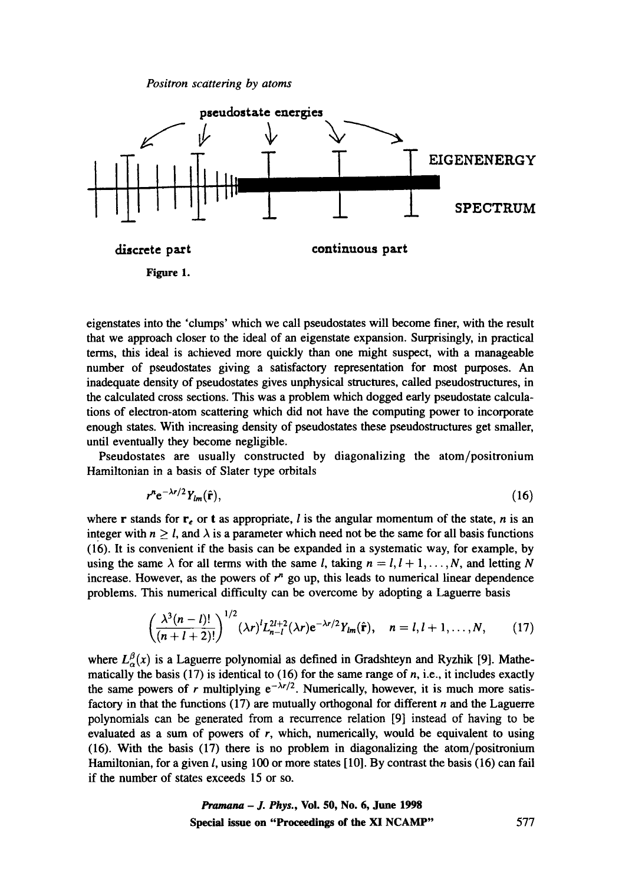

eigenstates into the 'clumps' which we call pseudostates will become finer, with the result that we approach closer to the ideal of an eigenstate expansion. Surprisingly, in practical terms, this ideal is achieved more quickly than one might suspect, with a manageable number of pseudostates giving a satisfactory representation for most purposes. An inadequate density of pseudostates gives unphysical structures, called pseudostructures, in the calculated cross sections. This was a problem which dogged early pseudostate calculations of electron-atom scattering which did not have the computing power to incorporate enough states. With increasing density of pseudostates these pseudostructures get smaller, until eventually they become negligible.

Pseudostates are usually constructed by diagonalizing the atom/positronium Hamiltonian in a basis of Slater type orbitals

$$
r^n e^{-\lambda r/2} Y_{lm}(\hat{\mathbf{r}}),\tag{16}
$$

where r stands for  $r_e$  or t as appropriate, *l* is the angular momentum of the state, *n* is an integer with  $n \geq l$ , and  $\lambda$  is a parameter which need not be the same for all basis functions (16). It is convenient if the basis can be expanded in a systematic way, for example, by using the same  $\lambda$  for all terms with the same l, taking  $n = l, l + 1, \ldots, N$ , and letting N increase. However, as the powers of  $r^n$  go up, this leads to numerical linear dependence problems. This numerical difficulty can be overcome by adopting a Laguerre basis

$$
\left(\frac{\lambda^3(n-l)!}{(n+l+2)!}\right)^{1/2}(\lambda r)^{l}L_{n-l}^{2l+2}(\lambda r)e^{-\lambda r/2}Y_{lm}(\hat{\mathbf{r}}), \quad n=l, l+1, \ldots, N, \qquad (17)
$$

where  $L^{\beta}_{\alpha}(x)$  is a Laguerre polynomial as defined in Gradshteyn and Ryzhik [9]. Mathematically the basis  $(17)$  is identical to  $(16)$  for the same range of *n*, i.e., it includes exactly the same powers of r multiplying  $e^{-\lambda r/2}$ . Numerically, however, it is much more satisfactory in that the functions  $(17)$  are mutually orthogonal for different n and the Laguerre polynomials can be generated from a recurrence relation [9] instead of having to be evaluated as a sum of powers of  $r$ , which, numerically, would be equivalent to using (16). With the basis (17) there is no problem in diagonalizing the atom/positrouium Hamiltonian, for a given l, using 100 or more states [10]. By contrast the basis (16) can fail if the number of states exceeds 15 or so.

*Pramana - J. Phys.,* **Vol. 50, No. 6, June 1998 Special issue on "Proceedings of the Xl NCAMP"** 577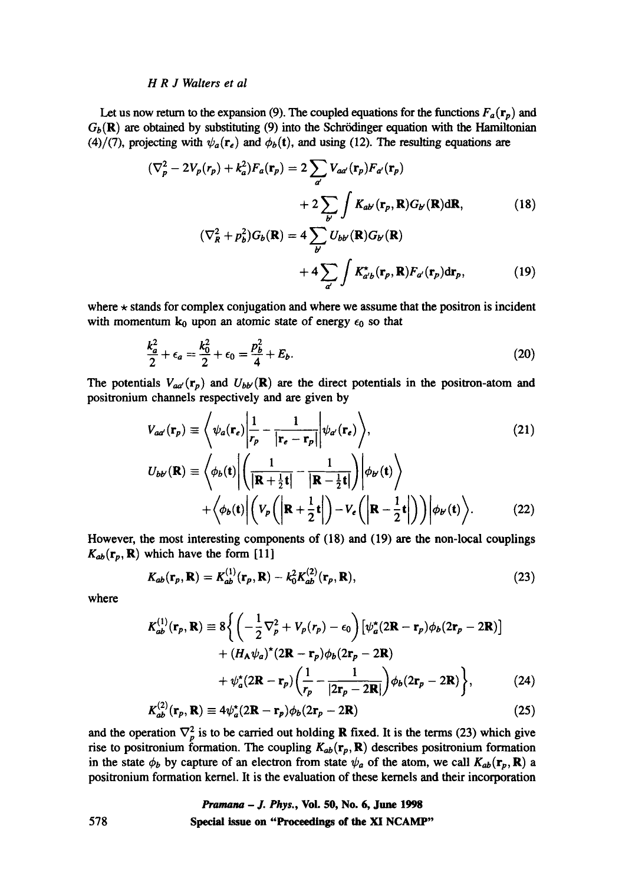# *H R J Waiters et al*

Let us now return to the expansion (9). The coupled equations for the functions  $F_a(\mathbf{r}_p)$  and  $G_b(\mathbf{R})$  are obtained by substituting (9) into the Schrödinger equation with the Hamiltonian (4)/(7), projecting with  $\psi_a(\mathbf{r}_e)$  and  $\phi_b(\mathbf{t})$ , and using (12). The resulting equations are

$$
(\nabla_p^2 - 2V_p(r_p) + k_a^2)F_a(\mathbf{r}_p) = 2\sum_{a'} V_{aa'}(\mathbf{r}_p)F_{a'}(\mathbf{r}_p)
$$

$$
+ 2\sum_{b'} \int K_{ab'}(\mathbf{r}_p, \mathbf{R})G_{b'}(\mathbf{R})d\mathbf{R}, \qquad (18)
$$

$$
(\nabla_R^2 + p_b^2) G_b(\mathbf{R}) = 4 \sum_{b'} U_{bb'}(\mathbf{R}) G_{b'}(\mathbf{R})
$$

$$
+ 4 \sum_{a'} \int K_{a'b}^{\star}(\mathbf{r}_p, \mathbf{R}) F_{a'}(\mathbf{r}_p) d\mathbf{r}_p, \qquad (19)
$$

where  $\star$  stands for complex conjugation and where we assume that the positron is incident with momentum  $k_0$  upon an atomic state of energy  $\epsilon_0$  so that

$$
\frac{k_a^2}{2} + \epsilon_a = \frac{k_0^2}{2} + \epsilon_0 = \frac{p_b^2}{4} + E_b.
$$
 (20)

The potentials  $V_{ad}(\mathbf{r}_p)$  and  $U_{bb'}(\mathbf{R})$  are the direct potentials in the positron-atom and positronium channels respectively and are given by

$$
V_{aa'}(\mathbf{r}_p) \equiv \left\langle \psi_a(\mathbf{r}_e) \middle| \frac{1}{r_p} - \frac{1}{|\mathbf{r}_e - \mathbf{r}_p|} \middle| \psi_{a'}(\mathbf{r}_e) \right\rangle, \tag{21}
$$
  

$$
U_{bb'}(\mathbf{R}) \equiv \left\langle \phi_b(\mathbf{t}) \middle| \left( \frac{1}{|\mathbf{R} + \frac{1}{2}\mathbf{t}|} - \frac{1}{|\mathbf{R} - \frac{1}{2}\mathbf{t}|} \right) \middle| \phi_{b'}(\mathbf{t}) \right\rangle + \left\langle \phi_b(\mathbf{t}) \middle| \left( V_p \left( \middle| \mathbf{R} + \frac{1}{2}\mathbf{t} \middle| \right) - V_e \left( \middle| \mathbf{R} - \frac{1}{2}\mathbf{t} \middle| \right) \right) \middle| \phi_{b'}(\mathbf{t}) \right\rangle. \tag{22}
$$

However, the most interesting components of (18) and (19) are the non-local couplings  $K_{ab}(\mathbf{r}_p, \mathbf{R})$  which have the form [11]

$$
K_{ab}(\mathbf{r}_p, \mathbf{R}) = K_{ab}^{(1)}(\mathbf{r}_p, \mathbf{R}) - k_0^2 K_{ab}^{(2)}(\mathbf{r}_p, \mathbf{R}),
$$
\n(23)

where

$$
K_{ab}^{(1)}(\mathbf{r}_p, \mathbf{R}) \equiv 8 \Biggl\{ \Biggl( -\frac{1}{2} \nabla_p^2 + V_p(r_p) - \epsilon_0 \Biggr) \Biggl[ \psi_a^*(2\mathbf{R} - \mathbf{r}_p) \phi_b(2\mathbf{r}_p - 2\mathbf{R}) \Biggr] + (H_A \psi_a)^*(2\mathbf{R} - \mathbf{r}_p) \phi_b(2\mathbf{r}_p - 2\mathbf{R}) + \psi_a^*(2\mathbf{R} - \mathbf{r}_p) \Biggl( \frac{1}{r_p} - \frac{1}{|2\mathbf{r}_p - 2\mathbf{R}|} \Biggr) \phi_b(2\mathbf{r}_p - 2\mathbf{R}) \Biggr\}, \tag{24}
$$

$$
K_{ab}^{(2)}(\mathbf{r}_p, \mathbf{R}) \equiv 4\psi_a^*(2\mathbf{R} - \mathbf{r}_p)\phi_b(2\mathbf{r}_p - 2\mathbf{R})
$$
\n(25)

and the operation  $\nabla_p^2$  is to be carried out holding **R** fixed. It is the terms (23) which give rise to positronium formation. The coupling  $K_{ab}(\mathbf{r}_p, \mathbf{R})$  describes positronium formation in the state  $\phi_b$  by capture of an electron from state  $\psi_a$  of the atom, we call  $K_{ab}(\mathbf{r}_p, \mathbf{R})$  a positronium formation kernel. It is the evaluation of these kernels and their incorporation

> *Pramana - J. Phys.,* **Vol. 50, No. 6, June 1998 Special issue on "Proceedings of the XI NCAMP"**

578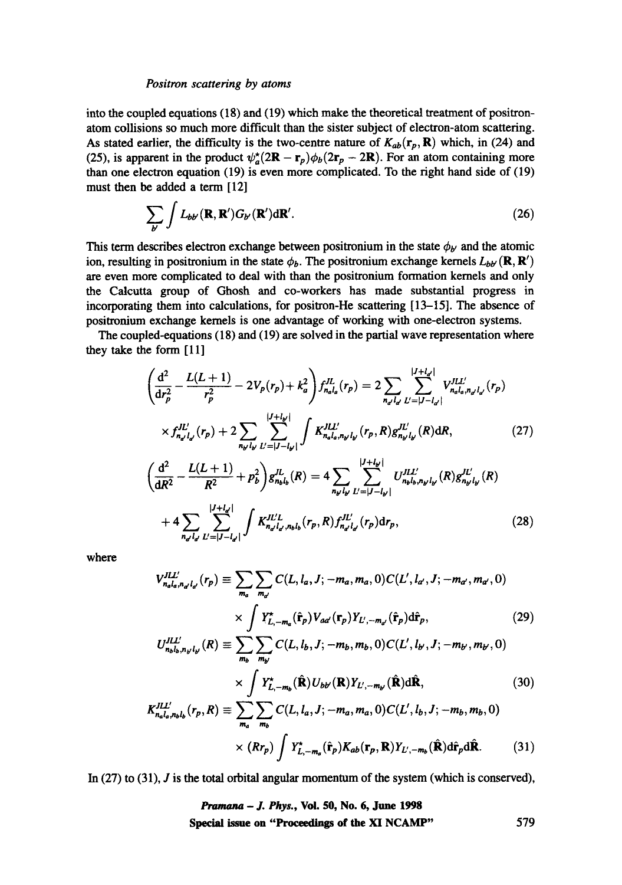into the coupled equations (18) and (19) which make the theoretical treatment of positronatom collisions so much more difficult than the sister subject of electron-atom scattering. As stated earlier, the difficulty is the two-centre nature of  $K_{ab}(r_p, \mathbf{R})$  which, in (24) and (25), is apparent in the product  $\psi_a^* (2\mathbf{R} - \mathbf{r}_p)\phi_b(2\mathbf{r}_p - 2\mathbf{R})$ . For an atom containing more than one electron equation (19) is even more complicated. To the right hand side of (19) must then be added a term [12]

$$
\sum_{b'} \int L_{b''}(\mathbf{R}, \mathbf{R}') G_{b'}(\mathbf{R}') d\mathbf{R}'. \tag{26}
$$

This term describes electron exchange between positronium in the state  $\phi_{b'}$  and the atomic ion, resulting in positronium in the state  $\phi_b$ . The positronium exchange kernels  $L_{bb'}(\mathbf{R}, \mathbf{R}')$ are even more complicated to deal with than the positronium formation kernels and only the Calcutta group of Ghosh and co-workers has made substantial progress in incorporating them into calculations, for positron-He scattering [13-15]. The absence of positronium exchange kernels is one advantage of working with one-electron systems.

The coupled-equations (18) and (19) are solved in the partial wave representation where they take the form  $[11]$ 

$$
\left(\frac{d^2}{dr_p^2} - \frac{L(L+1)}{r_p^2} - 2V_p(r_p) + k_a^2\right) f_{n_a l_a}^{J L}(r_p) = 2 \sum_{n_d l_d} \sum_{L'=|J-l_d|}^{|J+l_d|} V_{n_a l_a, n_d l_d'}^{J L'}(r_p)
$$
\n
$$
\times f_{n_d l_d}^{J L'}(r_p) + 2 \sum_{n_{\mu} l_{\mu}} \sum_{L'=|J-l_{\mu}|}^{|J+l_{\mu}|} \int K_{n_a l_a, n_{\mu} l_{\mu}}^{J L'}(r_p, R) g_{n_{\mu} l_{\mu}}^{J L'}(R) dR,
$$
\n(27)\n
$$
\left(\frac{d^2}{dR^2} - \frac{L(L+1)}{R^2} + p_b^2\right) g_{n_b l_b}^{J L}(R) = 4 \sum_{n_{\mu} l_{\mu}} \sum_{L'=|J-l_{\mu}|}^{|J+l_{\mu}|} U_{n_b l_b, n_{\mu} l_{\mu}}^{J L'}(R) g_{n_{\mu} l_{\mu}}^{J L'}(R)
$$
\n
$$
+ 4 \sum_{n_{\mu} l_{\mu}} \sum_{L'=|J-l_d|}^{|J+l_d|} \int K_{n_d l_d, n_b l_b}^{J L'}(r_p, R) f_{n_d l_d}^{J L'}(r_p) dr_p,
$$
\n(28)

where

$$
V_{n_a l_a, n_{a'} l_{a'}}^{I L L'}(r_p) \equiv \sum_{m_a} \sum_{m_{a'}} C(L, l_a, J; -m_a, m_a, 0) C(L', l_{a'}, J; -m_{a'}, m_{a'}, 0)
$$

$$
\times \int Y_{L, -m_a}^{\star}(\hat{\mathbf{r}}_p) V_{aa'}(\mathbf{r}_p) Y_{L', -m_{a'}}(\hat{\mathbf{r}}_p) d\hat{\mathbf{r}}_p, \tag{29}
$$

$$
U_{n_{b}l_{b},n_{b'}l_{b'}}^{ILL'}(R) \equiv \sum_{m_{b}}^{\infty} \sum_{m_{b'}} C(L, l_{b}, J; -m_{b}, m_{b}, 0) C(L', l_{b'}, J; -m_{b'}, m_{b'}, 0)
$$

$$
\times \int Y_{L,-m_{b}}^{\star}(\hat{\mathbf{R}}) U_{bb'}(\mathbf{R}) Y_{L',-m_{b'}}(\hat{\mathbf{R}}) d\hat{\mathbf{R}}, \qquad (30)
$$

$$
K_{n_a l_a, n_b l_b}^{JLL'}(r_p, R) \equiv \sum_{m_a}^{\infty} \sum_{m_b} C(L, l_a, J; -m_a, m_a, 0) C(L', l_b, J; -m_b, m_b, 0)
$$

$$
\times (Rr_p) \int Y_{L, -m_a}^{\star}(\hat{\mathbf{r}}_p) K_{ab}(\mathbf{r}_p, \mathbf{R}) Y_{L', -m_b}(\hat{\mathbf{R}}) d\hat{\mathbf{r}}_p d\hat{\mathbf{R}}.
$$
(31)

In  $(27)$  to  $(31)$ , *J* is the total orbital angular momentum of the system (which is conserved),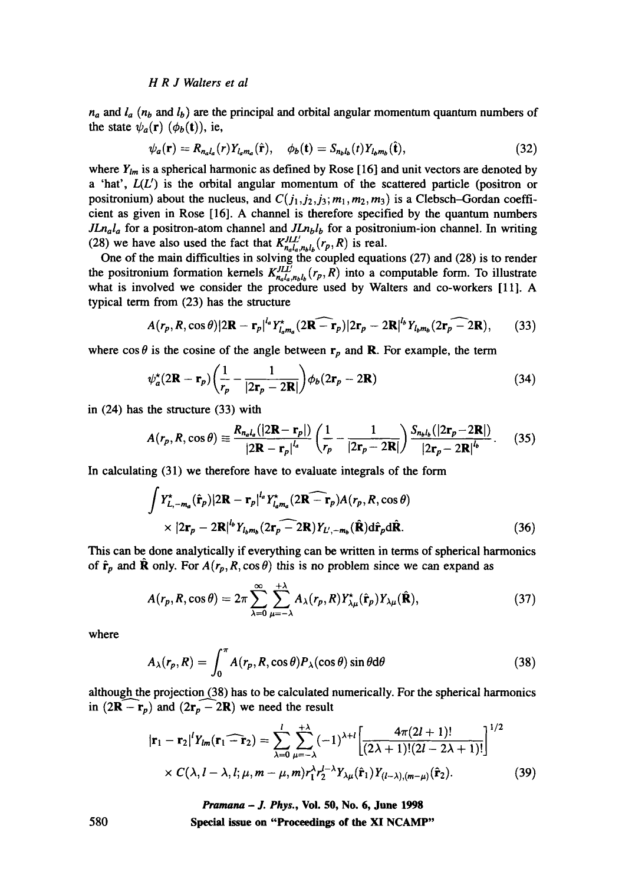## *H R J Waiters et al*

*na and la (rib and lb ) are the* principal and orbital angular momentum quantum numbers of the state  $\psi_a(\mathbf{r})$   $(\phi_b(\mathbf{t}))$ , ie,

$$
\psi_a(\mathbf{r}) = R_{n_a l_a}(r) Y_{l_a m_a}(\hat{\mathbf{r}}), \quad \phi_b(\mathbf{t}) = S_{n_b l_b}(t) Y_{l_b m_b}(\hat{\mathbf{t}}), \tag{32}
$$

where  $Y_{lm}$  is a spherical harmonic as defined by Rose [16] and unit vectors are denoted by a 'hat', *L(U)* is the orbital angular momentum of the scattered particle (positron or positronium) about the nucleus, and  $C(j_1, j_2, j_3; m_1, m_2, m_3)$  is a Clebsch-Gordan coefficient as given in Rose [16]. A channel is therefore specified by the quantum numbers *JLn<sub>a</sub>l<sub>a</sub>* for a positron-atom channel and *JLn<sub>b</sub>l<sub>b</sub>* for a positronium-ion channel. In writing (28) we have also used the fact that  $K_{n_a l_a, n_b l_b}^{J L L'}(r_p, R)$  is real.

One of the main difficulties in solving the coupled equations (27) and (28) is to render the positronium formation kernels  $K_{n,l,m}^{J,L}$ ,  $(r_p, R)$  into a computable form. To illustrate what is involved we consider the procedure used by Waiters and co-workers [11]. A typical term from (23) has the structure

$$
A(r_p, R, \cos\theta)|2\mathbf{R} - \mathbf{r}_p|^{l_a} Y^{\dagger}_{l_a m_a}(2\mathbf{R} - \mathbf{r}_p)|2\mathbf{r}_p - 2\mathbf{R}|^{l_b} Y_{l_b m_b}(2\mathbf{r}_p - 2\mathbf{R}), \qquad (33)
$$

where  $\cos \theta$  is the cosine of the angle between  $r_p$  and **R**. For example, the term

$$
\psi_a^{\star}(2\mathbf{R} - \mathbf{r}_p) \left(\frac{1}{r_p} - \frac{1}{|2\mathbf{r}_p - 2\mathbf{R}|}\right) \phi_b(2\mathbf{r}_p - 2\mathbf{R})
$$
\n(34)

in (24) has the structure (33) with

$$
A(r_p, R, \cos \theta) \equiv \frac{R_{n_a l_a} (|\mathbf{2R} - \mathbf{r}_p|)}{|\mathbf{2R} - \mathbf{r}_p|^{l_a}} \left(\frac{1}{r_p} - \frac{1}{|\mathbf{2r}_p - \mathbf{2R}|}\right) \frac{S_{n_b l_b} (|\mathbf{2r}_p - \mathbf{2R}|)}{|\mathbf{2r}_p - \mathbf{2R}|^{l_b}}.
$$
 (35)

In calculating (31) we therefore have to evaluate integrals of the form

$$
\int Y_{L,-m_a}^{\star}(\hat{\mathbf{r}}_p)|2\mathbf{R}-\mathbf{r}_p|^{l_a} Y_{l_a m_a}^{\star}(2\mathbf{R}-\mathbf{\widehat{r}}_p)A(r_p, R, \cos \theta)
$$
  
×  $|2\mathbf{r}_p - 2\mathbf{R}|^{l_b} Y_{l_b m_b}(2\mathbf{r}_p - 2\mathbf{R})Y_{L',-m_b}(\hat{\mathbf{R}})d\hat{\mathbf{r}}_p d\hat{\mathbf{R}}.$  (36)

This can be done analytically if everything can be written in terms of spherical harmonics of  $\hat{\mathbf{r}}_p$  and  $\hat{\mathbf{R}}$  only. For  $A(r_p, R, \cos \theta)$  this is no problem since we can expand as

$$
A(r_p, R, \cos \theta) = 2\pi \sum_{\lambda=0}^{\infty} \sum_{\mu=-\lambda}^{+\lambda} A_{\lambda}(r_p, R) Y^{\star}_{\lambda \mu}(\hat{\mathbf{r}}_p) Y_{\lambda \mu}(\hat{\mathbf{R}}), \tag{37}
$$

where

$$
A_{\lambda}(r_p, R) = \int_0^{\pi} A(r_p, R, \cos \theta) P_{\lambda}(\cos \theta) \sin \theta d\theta
$$
 (38)

although the projection (38) has to be calculated numerically. For the spherical harmonics in  $(2\mathbf{R} - \mathbf{r}_p)$  and  $(2\mathbf{r}_p - 2\mathbf{R})$  we need the result

$$
|\mathbf{r}_1 - \mathbf{r}_2|^l Y_{lm}(\mathbf{r}_1 - \mathbf{\widetilde{r}}_2) = \sum_{\lambda=0}^l \sum_{\mu=-\lambda}^{+\lambda} (-1)^{\lambda+l} \left[ \frac{4\pi(2l+1)!}{(2\lambda+1)!(2l-2\lambda+1)!} \right]^{1/2}
$$
  
×  $C(\lambda, l-\lambda, l; \mu, m-\mu, m) r_1^{\lambda} r_2^{l-\lambda} Y_{\lambda\mu}(\hat{\mathbf{r}}_1) Y_{(l-\lambda),(m-\mu)}(\hat{\mathbf{r}}_2).$  (39)

*15,amana - J. Phys.,* **Vol. 50, No. 6, June 1998 Special issue on "Proceedings of the XI NCAMP"** 

580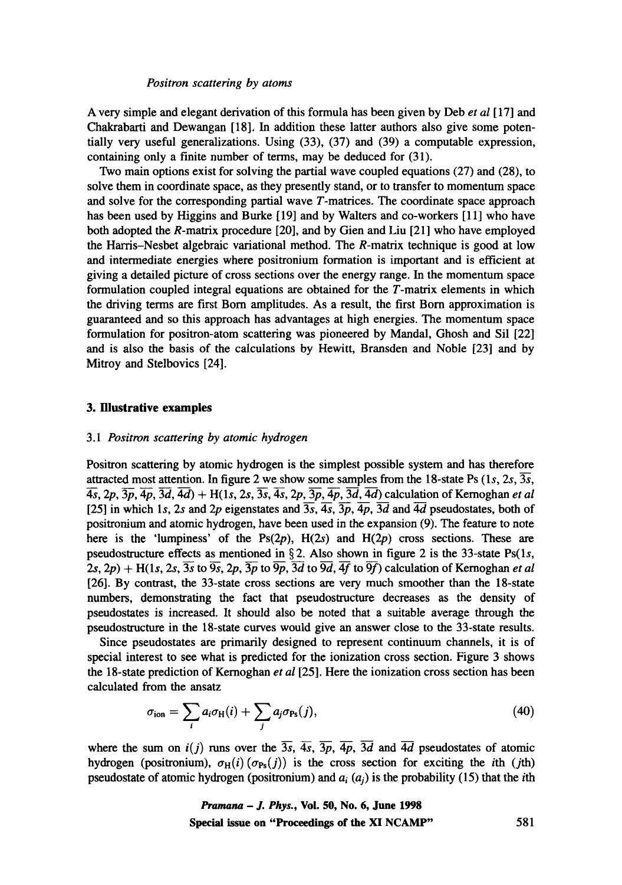A very simple and elegant derivation of this formula has been given by Deb *et al* [17] and Chakrabarti and Dewangan [18]. In addition these latter authors also give some potentially very useful generalizations. Using (33), (37) and (39) a computable expression, containing only a finite number of terms, may be deduced for (31).

Two main options exist for solving the partial wave coupled equations (27) and (28), to solve them in coordinate space, as they presently stand, or to transfer to momentum space and solve for the corresponding partial wave T-matrices. The coordinate space approach has been used by Higgins and Burke [19] and by Walters and co-workers [11] who have both adopted the R-matrix procedure [20], and by Gien and Liu [21] who have employed the Harris-Nesbet algebraic variational method. The R-matrix technique is good at low and intermediate energies where positronium formation is important and is efficient at giving a detailed picture of cross sections over the energy range. In the momentum space formulation coupled integral equations are obtained for the T-matrix elements in which the driving terms are first Born amplitudes. As a result, the first Born approximation is guaranteed and so this approach has advantages at high energies. The momentum space formulation for positron-atom scattering was pioneered by Mandal, Ghosh and Sil [22] and is also the basis of the calculations by Hewitt, Bransden and Noble [23] and by Mitroy and Stelbovics [24].

# **3. Illustrative examples**

# *3.1 Positron scattering by atomic hydrogen*

Positron scattering by atomic hydrogen is the simplest possible system and has therefore attracted most attention. In figure 2 we show some samples from the 18-state Ps  $(1s, 2s, \overline{3s})$ ,  $\overline{4s}$ ,  $2p$ ,  $\overline{3p}$ ,  $\overline{4p}$ ,  $\overline{3d}$ ,  $\overline{4d}$ ) + H(1s, 2s,  $\overline{3s}$ ,  $\overline{4s}$ ,  $2p$ ,  $\overline{3p}$ ,  $\overline{4p}$ ,  $\overline{3d}$ ,  $\overline{4d}$ ) calculation of Kernoghan *et al* [25] in which 1s, 2s and 2p eigenstates and  $\overline{3s}$ ,  $\overline{4s}$ ,  $\overline{3p}$ ,  $\overline{4p}$ ,  $\overline{3d}$  and  $\overline{4d}$  pseudostates, both of positronium and atomic hydrogen, have been used in the expansion (9). The feature to note here is the 'lumpiness' of the  $Ps(2p)$ ,  $H(2s)$  and  $H(2p)$  cross sections. These are pseudostructure effects as mentioned in  $\S 2$ . Also shown in figure 2 is the 33-state Ps(1s,  $2s$ ,  $2p$ ) + H(1s,  $2s$ ,  $3s$  to  $9s$ ,  $2p$ ,  $3p$  to  $9p$ ,  $3d$  to  $9d$ ,  $4f$  to  $9f$ ) calculation of Kernoghan *et al* [26]. By contrast, the 33-state cross sections are very much smoother than the 18-state numbers, demonstrating the fact that pseudostructure decreases as the density of pseudostates is increased. It should also be noted that a suitable average through the pseudostructure in the 18-state curves would give an answer close to the 33-state results.

Since pseudostates are primarily designed to represent continuum channels, it is of special interest to see what is predicted for the ionization cross section. Figure 3 shows the 18-state prediction of Kernoghan *et al* [25]. Here the ionization cross section has been calculated from the ansatz

$$
\sigma_{\rm ion} = \sum_i a_i \sigma_{\rm H}(i) + \sum_j a_j \sigma_{\rm Ps}(j), \qquad (40)
$$

where the sum on  $i(j)$  runs over the  $\overline{3s}$ ,  $\overline{4s}$ ,  $\overline{3p}$ ,  $\overline{4p}$ ,  $\overline{3d}$  and  $\overline{4d}$  pseudostates of atomic hydrogen (positronium),  $\sigma_H(i)(\sigma_{Ps}(j))$  is the cross section for exciting the *i*th (*j*th) pseudostate of atomic hydrogen (positronium) and  $a_i(a_j)$  is the probability (15) that the *i*th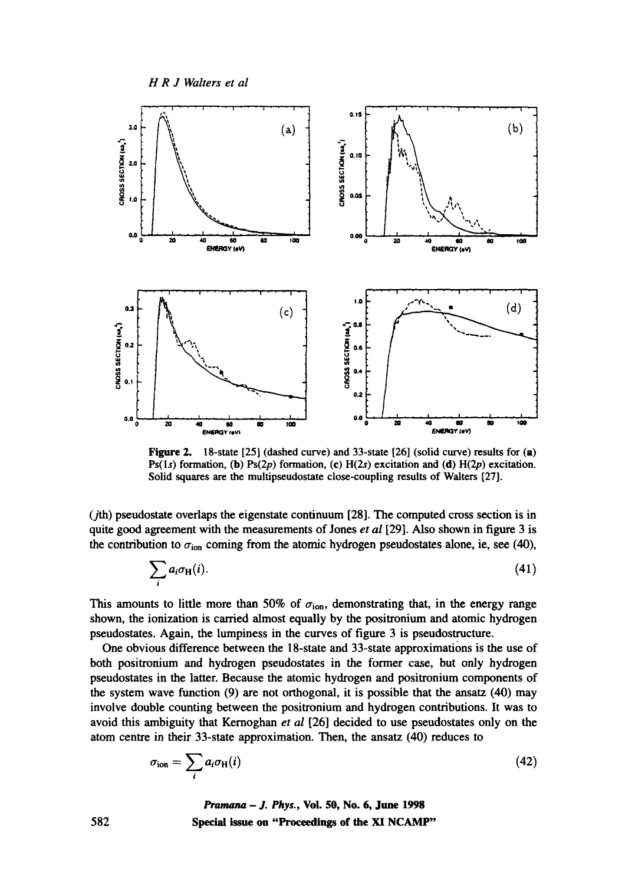*H R J Waiters et al* 



Figure 2. 18-state [25] (dashed curve) and 33-state [26] (solid curve) results for (a) Ps(1s) formation, (b) Ps(2p) formation, (c) H(2s) excitation and (d) H(2p) excitation. Solid squares are the multipseudostate close-coupling results of Waiters [27].

 $(j<sub>th</sub>)$  pseudostate overlaps the eigenstate continuum [28]. The computed cross section is in quite good agreement with the measurements of Jones *et al* [29]. Also shown in figure 3 is the contribution to  $\sigma_{\text{ion}}$  coming from the atomic hydrogen pseudostates alone, ie, see (40),

$$
\sum_{i} a_i \sigma_{\rm H}(i). \tag{41}
$$

This amounts to little more than 50% of  $\sigma_{\text{ion}}$ , demonstrating that, in the energy range shown, the ionization is carried almost equally by the positronium and atomic hydrogen pseudostates. Again, the lumpiness in the curves of figure 3 is pseudostructure.

One obvious difference between the 18-state and 33-state approximations is the use of both positronium and hydrogen pseudostates in the former case, but only hydrogen pseudostates in the latter. Because the atomic hydrogen and positronium components of the system wave function (9) are not orthogonal, it is possible that the ansatz (40) may involve double counting between the positronium and hydrogen contributions. It was to avoid this ambiguity that Kernoghan *et al* [26] decided to use pseudostates only on the atom centre in their 33-state approximation. Then, the ansatz (40) reduces to

$$
\sigma_{\rm ion} = \sum_i a_i \sigma_{\rm H}(i) \tag{42}
$$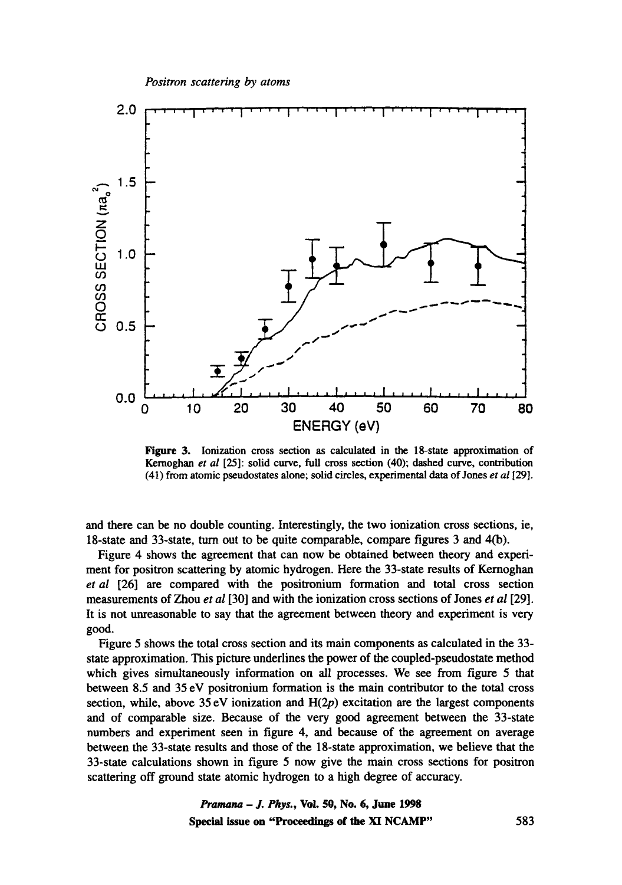

Figure 3. Ionization cross section as calculated in the 18-state approximation of Kernoghan *et al* [25]: solid curve, full cross section (40); dashed curve, contribution (41) from atomic pseudostates alone; solid circles, experimental data of Jones *et al* [29].

and there can be no double counting. Interestingly, the two ionization cross sections, ie, 18-state and 33-state, turn out to be quite comparable, compare figures 3 and 4(b).

Figure 4 shows the agreement that can now be obtained between theory and experiment for positron scattering by atomic hydrogen. Here the 33-state results of Kernoghan *et al* [26] are compared with the positronium formation and total cross section measurements of Zhou *et al* [30] and with the ionization cross sections of Jones *et al* [29]. It is not unreasonable to say that the agreement between theory and experiment is very good.

Figure 5 shows the total cross section and its main components as calculated in the 33 state approximation. This picture underlines the power of the coupled-pseudostate method which gives simultaneously information on all processes. We see from figure 5 that between 8.5 and 35 eV positronium formation is the main contributor to the total cross section, while, above  $35 \text{ eV}$  ionization and  $H(2p)$  excitation are the largest components and of comparable size. Because of the very good agreement between the 33-state numbers and experiment seen in figure 4, and because of the agreement on average between the 33-state results and those of the 18-state approximation, we believe that the 33-state calculations shown in figure 5 now give the main cross sections for positron scattering off ground state atomic hydrogen to a high degree of accuracy.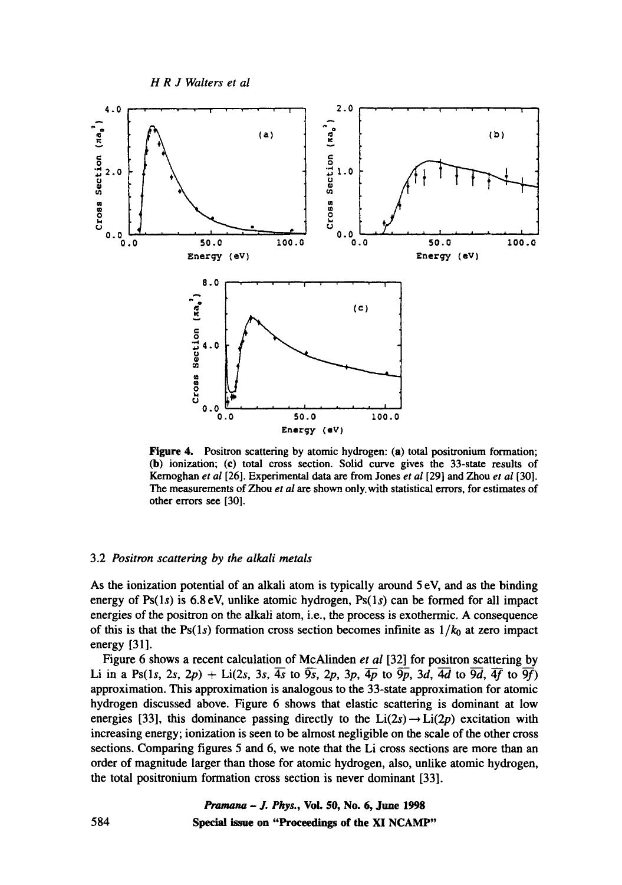

Figure 4. Positron scattering by atomic hydrogen: (a) total positronium formation; (b) ionization; (c) total cross section. Solid curve gives the 33-state results of Kemoghan *et al* [26]. Experimental data are from Jones *et al* [29] and Zhou *et al* [30]. The measurements of Zhou *et al are* shown only.with statistical errors, for estimates of other errors see [30].

# 3.2 *Positron scattering by the alkali metals*

As the ionization potential of an alkali atom is typically around 5 eV, and as the binding energy of Ps $(1s)$  is 6.8 eV, unlike atomic hydrogen, Ps $(1s)$  can be formed for all impact energies of the positron on the alkali atom, i.e., the process is exothermic. A consequence of this is that the Ps(1s) formation cross section becomes infinite as  $1/k_0$  at zero impact energy [31].

Figure 6 shows a recent calculation of McAlinden *et al* [32] for positron scattering by Li in a Ps(1s, 2s, 2p) + Li(2s, 3s,  $\overline{4s}$  to  $\overline{9s}$ , 2p, 3p,  $\overline{4p}$  to  $\overline{9p}$ , 3d,  $\overline{4d}$  to  $\overline{9d}$ ,  $\overline{4f}$  to  $\overline{9f}$ ) approximation. This approximation is analogous to the 33-state approximation for atomic hydrogen discussed above. Figure 6 shows that elastic scattering is dominant at low energies [33], this dominance passing directly to the  $Li(2s) \rightarrow Li(2p)$  excitation with increasing energy; ionization is seen to be almost negligible on the scale of the other cross sections. Comparing figures 5 and 6, we note that the Li cross sections are more than an order of magnitude larger than those for atomic hydrogen, also, unlike atomic hydrogen, the total positronium formation cross section is never dominant [33].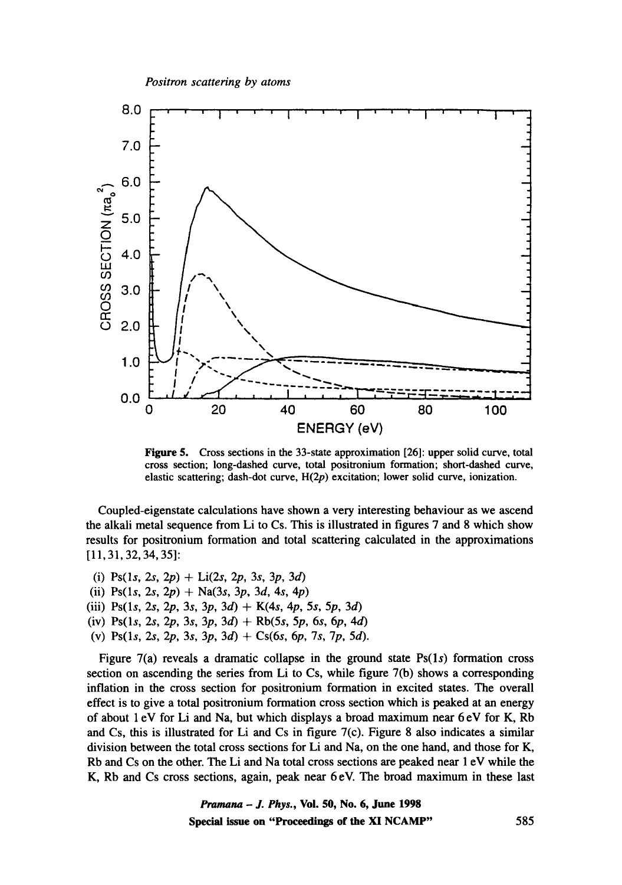

Figure 5. Cross sections in the 33-state approximation [26]: upper solid curve, total cross section; long-dashed curve, total positronium formation; short-dashed curve, elastic scattering; dash-dot curve,  $H(2p)$  excitation; lower solid curve, ionization.

Coupled-eigenstate calculations have shown a very interesting behaviour as we ascend the alkali metal sequence from Li to Cs. This is illustrated in figures 7 and 8 which show results for positronium formation and total scattering calculated in the approximations [11,31,32, 34, 35]:

(i) Ps(1s, 2s, 2p) + Li(2s, 2p, 3s, 3p, 3d) (ii) Ps(1s, 2s, 2p) + Na(3s, 3p, 3d, 4s, 4p) (iii) Ps(1s, 2s, 2p, 3s, 3p, 3d) + K(4s, 4p, 5s, 5p, 3d) (iv) Ps(1s, 2s, 2p, 3s, 3p, 3d) + Rb(5s, 5p, 6s, 6p, 4d) (v) Ps(1s, 2s, 2p, 3s, 3p, 3d) + Cs(6s, 6p, 7s, 7p, 5d).

Figure  $7(a)$  reveals a dramatic collapse in the ground state  $Ps(1s)$  formation cross section on ascending the series from Li to Cs, while figure 7(b) shows a corresponding inflation in the cross section for positronium formation in excited states. The overall effect is to give a total positronium formation cross section which is peaked at an energy of about 1 eV for Li and Na, but which displays a broad maximum near 6 eV for K, Rb and Cs, this is illustrated for Li and Cs in figure  $7(c)$ . Figure 8 also indicates a similar division between the total cross sections for Li and Na, on the one hand, and those for K, Rb and Cs on the other. The Li and Na total cross sections are peaked near 1 eV while the K, Rb and Cs cross sections, again, peak near 6 eV. The broad maximum in these last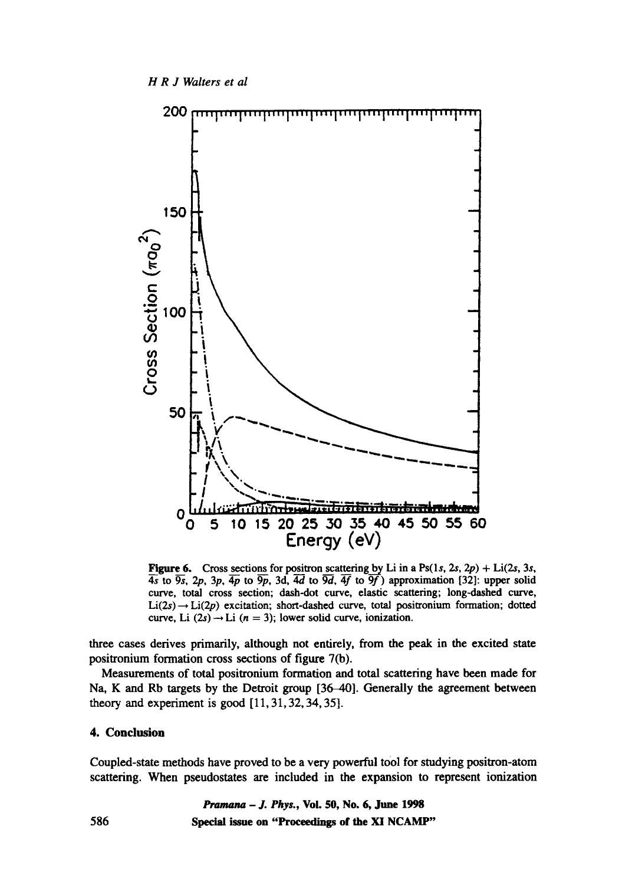

Figure 6. Cross sections for positron scattering by Li in a Ps(1s, 2s, 2p) + Li(2s, 3s,  $\overline{4s}$  to  $\overline{9s}$ ,  $2p$ ,  $3p$ ,  $\overline{4p}$  to  $\overline{9p}$ ,  $3d$ ,  $\overline{4d}$  to  $\overline{9d}$ ,  $\overline{4f}$  to  $\overline{9f}$ ) approximation [32]: upper solid curve, total cross section; dash-dot curve, elastic scattering; long-dashed curve,  $Li(2s) \rightarrow Li(2p)$  excitation; short-dashed curve, total positronium formation; dotted curve, Li  $(2s) \rightarrow$  Li  $(n = 3)$ ; lower solid curve, ionization.

three cases derives primarily, although not entirely, from the peak in the excited state positronium formation cross sections of figure 7(b).

Measurements of total positronium formation and total scattering have been made for Na, K and Rb targets by the Detroit group [36-40]. Generally the agreement between theory and experiment is good [11, 31, 32, 34, 35].

# **4. Conclusion**

Coupled-state methods have proved to be a very powerful tool for studying positron-atom scattering. When pseudostates are included in the expansion to represent ionization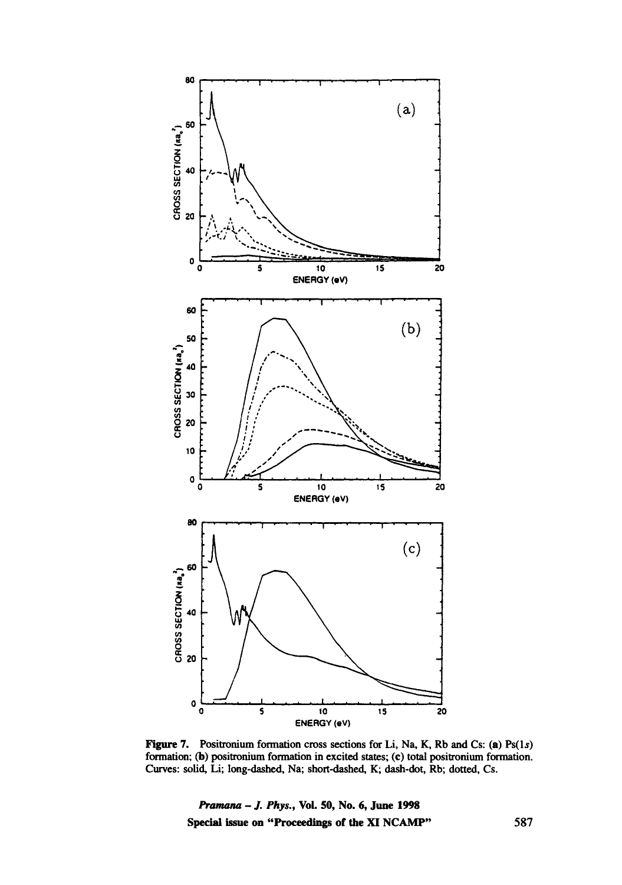

Figure 7. Positronium formation cross sections for Li, Na, K, Rb and Cs: (a)  $Ps(1s)$ formation; (b) positronium formation in excited states; (c) total positronium formation. Curves: solid, Li; long-dashed, Na; short-dashed, K; dash-dot, Rb; dotted, Cs.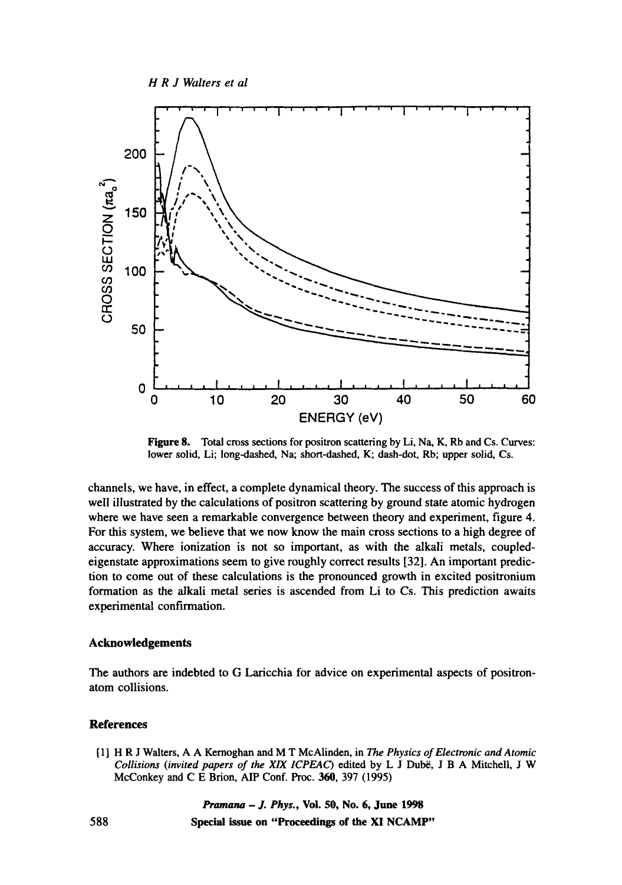*H R J Walters et al* 



Figure 8. Total cross sections for positron scattering by Li, Na, K, Rb and Cs. Curves: lower solid, Li; long-dashed, Na; short-dashed, K; dash-dot, Rb; upper solid, Cs.

channels, we have, in effect, a complete dynamical theory. The success of this approach is well illustrated by the calculations of positron scattering by ground state atomic hydrogen where we have seen a remarkable convergence between theory and experiment, figure 4. For this system, we believe that we now know the main cross sections to a high degree of accuracy. Where ionization is not so important, as with the alkali metals, coupledeigenstate approximations seem to give roughly correct results [32]. An important prediction to come out of these calculations is the pronounced growth in excited positronium formation as the alkali metal series is ascended from Li to Cs. This prediction awaits experimental confirmation.

#### **Acknowledgements**

**The authors are indebted to G Laricchia for advice on experimental aspects of positronatom collisions.** 

# **References**

[1] H R J Waiters, A A Kernoghan and M T McAlinden, in The *Physics of Electronic and Atomic Collisions (invited papers of the XIX ICPEAC)* edited by L J Dubë, J B A Mitchell, J W McConkey and C E Brion, AIP Conf. Proc. 360, 397 (1995)

*Pramana - J. Phys.,* **Voi. 50, No. 6, June 1998** 

**588 Special issue on "Proceedings of the XI NCAMP"**